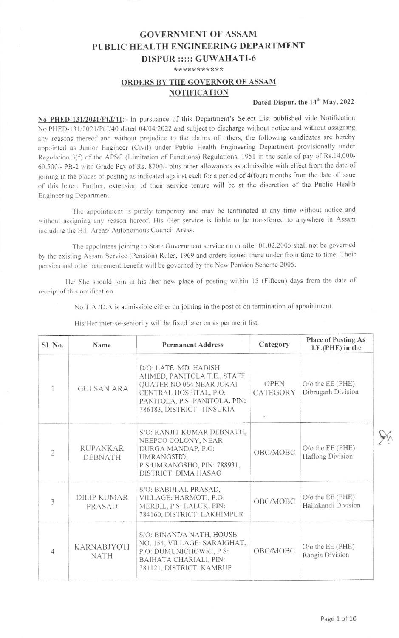## **GOVERNMENT OF ASSAM** PUBLIC HEALTH ENGINEERING DEPARTMENT **DISPUR ::::: GUWAHATI-6**

\*\*\*\*\*\*\*\*\*\*\*

## ORDERS BY THE GOVERNOR OF ASSAM **NOTIFICATION**

## Dated Dispur, the 14<sup>th</sup> May, 2022

No PHED-131/2021/Pt.I/41:- In pursuance of this Department's Select List published vide Notification No.PHED-131/2021/Pt.I/40 dated 04/04/2022 and subject to discharge without notice and without assigning any reasons thereof and without prejudice to the claims of others, the following candidates are hereby appointed as Junior Engineer (Civil) under Public Health Engineering Department provisionally under Regulation 3(f) of the APSC (Limitation of Functions) Regulations, 1951 in the scale of pay of Rs.14,000-60,500/- PB-2 with Grade Pay of Rs. 8700/- plus other allowances as admissible with effect from the date of joining in the places of posting as indicated against each for a period of 4(four) months from the date of issue of this letter. Further, extension of their service tenure will be at the discretion of the Public Health Engineering Department.

The appointment is purely temporary and may be terminated at any time without notice and without assigning any reason hereof. His /Her service is liable to be transferred to anywhere in Assam including the Hill Areas/ Autonomous Council Areas.

The appointees joining to State Government service on or after 01.02.2005 shall not be governed by the existing Assam Service (Pension) Rules, 1969 and orders issued there under from time to time. Their pension and other retirement benefit will be governed by the New Pension Scheme 2005.

He/ She should join in his /her new place of posting within 15 (Fifteen) days from the date of receipt of this notification.

No T.A /D.A is admissible either on joining in the post or on termination of appointment.

| Sl. No.        | Name                              | <b>Permanent Address</b>                                                                                                                                                  | Category                | Place of Posting As<br>J.E.(PHE) in the           |
|----------------|-----------------------------------|---------------------------------------------------------------------------------------------------------------------------------------------------------------------------|-------------------------|---------------------------------------------------|
|                | <b>GULSAN ARA</b>                 | D/O: LATE. MD. HADISH<br>AHMED, PANITOLA T.E., STAFF<br>QUATER NO 064 NEAR JOKAI<br>CENTRAL HOSPITAL, P.O.<br>PANITOLA, P.S: PANITOLA, PIN:<br>786183, DISTRICT: TINSUKIA | <b>OPEN</b><br>CATEGORY | $O$ / $\circ$ the EE (PHE)<br>Dibrugarh Division  |
| $\overline{2}$ | <b>RUPANKAR</b><br><b>DEBNATH</b> | S/O: RANJIT KUMAR DEBNATH,<br>NEEPCO COLONY, NEAR<br>DURGA MANDAP, P.O:<br>UMRANGSHO,<br>P.S:UMRANGSHO, PIN: 788931,<br>DISTRICT: DIMA HASAO                              | OBC/MOBC                | $O$ / $\circ$ the EE (PHE)<br>Haflong Division    |
| $\overline{3}$ | <b>DILIP KUMAR</b><br>PRASAD      | S/O: BABULAL PRASAD,<br>VILLAGE: HARMOTI, P.O:<br>MERBIL, P.S: LALUK, PIN:<br>784160, DISTRICT: LAKHIMPUR                                                                 | OBC/MOBC                | $O$ / $\circ$ the EE (PHE)<br>Hailakandi Division |
| $\overline{4}$ | <b>KARNABJYOTI</b><br><b>NATH</b> | S/O: BINANDA NATH, HOUSE<br>NO. 154, VILLAGE: SARAIGHAT,<br>P.O: DUMUNICHOWKI, P.S:<br>BAIHATA CHARIALI, PIN:<br>781121, DISTRICT: KAMRUP                                 | OBC/MOBC                | $O$ / $\circ$ the EE (PHE)<br>Rangia Division     |

His/Her inter-se-seniority will be fixed later on as per merit list.